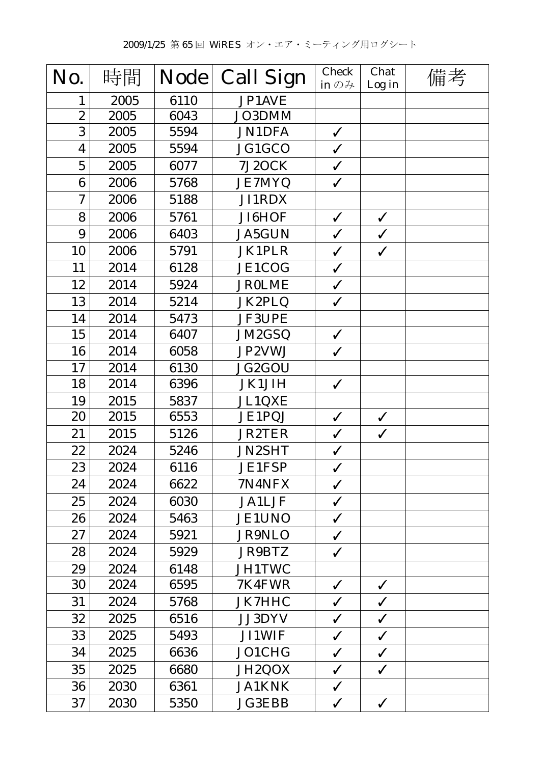| No.                     | 時間   | <b>Node</b> | <b>Call Sign</b> | <b>Check</b><br>in $\mathcal{D}$ $\mathcal{H}$ | Chat<br>Log in | 備考 |
|-------------------------|------|-------------|------------------|------------------------------------------------|----------------|----|
| 1                       | 2005 | 6110        | JP1AVE           |                                                |                |    |
| $\overline{2}$          | 2005 | 6043        | JO3DMM           |                                                |                |    |
| 3                       | 2005 | 5594        | <b>JN1DFA</b>    | $\checkmark$                                   |                |    |
| $\overline{\mathbf{4}}$ | 2005 | 5594        | JG1GCO           | $\checkmark$                                   |                |    |
| $\overline{5}$          | 2005 | 6077        | 7J2OCK           | $\checkmark$                                   |                |    |
| 6                       | 2006 | 5768        | <b>JE7MYQ</b>    | $\checkmark$                                   |                |    |
| 7                       | 2006 | 5188        | JI1RDX           |                                                |                |    |
| 8                       | 2006 | 5761        | JI6HOF           | $\checkmark$                                   | $\checkmark$   |    |
| 9                       | 2006 | 6403        | <b>JA5GUN</b>    | $\checkmark$                                   | $\checkmark$   |    |
| 10                      | 2006 | 5791        | <b>JK1PLR</b>    | $\checkmark$                                   | $\checkmark$   |    |
| 11                      | 2014 | 6128        | JE1COG           | $\checkmark$                                   |                |    |
| 12                      | 2014 | 5924        | <b>JR0LME</b>    | $\checkmark$                                   |                |    |
| 13                      | 2014 | 5214        | JK2PLQ           | $\checkmark$                                   |                |    |
| 14                      | 2014 | 5473        | <b>JF3UPE</b>    |                                                |                |    |
| 15                      | 2014 | 6407        | <b>JM2GSQ</b>    | $\checkmark$                                   |                |    |
| 16                      | 2014 | 6058        | JP2VWJ           | $\checkmark$                                   |                |    |
| 17                      | 2014 | 6130        | JG2GOU           |                                                |                |    |
| 18                      | 2014 | 6396        | <b>JK1JIH</b>    | $\checkmark$                                   |                |    |
| 19                      | 2015 | 5837        | JL1QXE           |                                                |                |    |
| 20                      | 2015 | 6553        | JE1PQJ           | $\checkmark$                                   | $\checkmark$   |    |
| 21                      | 2015 | 5126        | <b>JR2TER</b>    | $\checkmark$                                   | $\checkmark$   |    |
| 22                      | 2024 | 5246        | JN2SHT           | $\checkmark$                                   |                |    |
| 23                      | 2024 | 6116        | JE1FSP           | $\checkmark$                                   |                |    |
| 24                      | 2024 | 6622        | 7N4NFX           | $\checkmark$                                   |                |    |
| 25                      | 2024 | 6030        | <b>JA1LJF</b>    | $\checkmark$                                   |                |    |
| 26                      | 2024 | 5463        | <b>JE1UNO</b>    | $\checkmark$                                   |                |    |
| 27                      | 2024 | 5921        | <b>JR9NLO</b>    | $\checkmark$                                   |                |    |
| 28                      | 2024 | 5929        | <b>JR9BTZ</b>    | $\checkmark$                                   |                |    |
| 29                      | 2024 | 6148        | <b>JH1TWC</b>    |                                                |                |    |
| 30                      | 2024 | 6595        | 7K4FWR           | $\checkmark$                                   | $\checkmark$   |    |
| 31                      | 2024 | 5768        | <b>JK7HHC</b>    | $\checkmark$                                   | $\checkmark$   |    |
| 32                      | 2025 | 6516        | <b>JJ3DYV</b>    | $\checkmark$                                   | $\checkmark$   |    |
| 33                      | 2025 | 5493        | <b>JI1WIF</b>    | ✓                                              | $\checkmark$   |    |
| 34                      | 2025 | 6636        | JO1CHG           | $\checkmark$                                   | $\checkmark$   |    |
| 35                      | 2025 | 6680        | JH2QOX           | $\checkmark$                                   | $\checkmark$   |    |
| 36                      | 2030 | 6361        | <b>JA1KNK</b>    | $\checkmark$                                   |                |    |
| 37                      | 2030 | 5350        | <b>JG3EBB</b>    | $\checkmark$                                   | $\checkmark$   |    |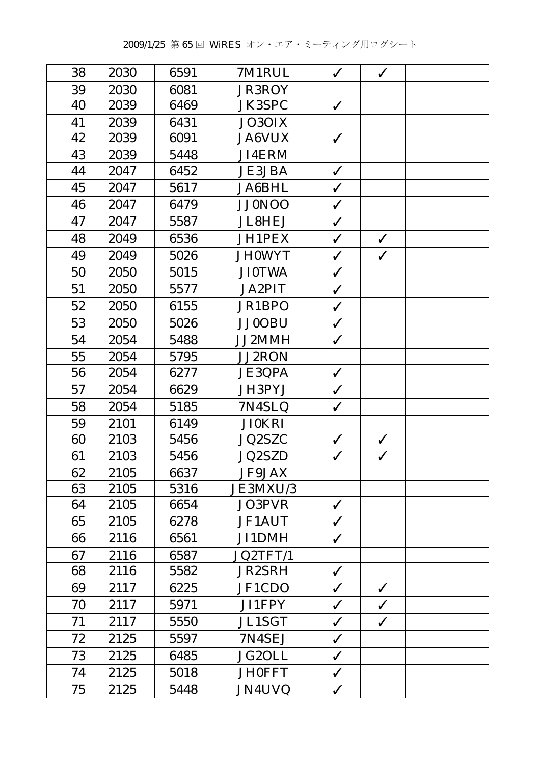| 38 | 2030 | 6591 | 7M1RUL        | $\checkmark$ | $\checkmark$ |  |
|----|------|------|---------------|--------------|--------------|--|
| 39 | 2030 | 6081 | <b>JR3ROY</b> |              |              |  |
| 40 | 2039 | 6469 | <b>JK3SPC</b> | $\checkmark$ |              |  |
| 41 | 2039 | 6431 | JO3OIX        |              |              |  |
| 42 | 2039 | 6091 | <b>JA6VUX</b> | $\checkmark$ |              |  |
| 43 | 2039 | 5448 | <b>JI4ERM</b> |              |              |  |
| 44 | 2047 | 6452 | <b>JE3JBA</b> | $\checkmark$ |              |  |
| 45 | 2047 | 5617 | <b>JA6BHL</b> | $\checkmark$ |              |  |
| 46 | 2047 | 6479 | <b>JJ0NOO</b> | $\checkmark$ |              |  |
| 47 | 2047 | 5587 | <b>JL8HEJ</b> | $\checkmark$ |              |  |
| 48 | 2049 | 6536 | JH1PEX        | $\checkmark$ | $\checkmark$ |  |
| 49 | 2049 | 5026 | <b>JH0WYT</b> | $\checkmark$ | $\checkmark$ |  |
| 50 | 2050 | 5015 | <b>JI0TWA</b> | $\checkmark$ |              |  |
| 51 | 2050 | 5577 | <b>JA2PIT</b> | $\checkmark$ |              |  |
| 52 | 2050 | 6155 | JR1BPO        | $\checkmark$ |              |  |
| 53 | 2050 | 5026 | <b>JJ0OBU</b> | $\checkmark$ |              |  |
| 54 | 2054 | 5488 | JJ2MMH        | $\checkmark$ |              |  |
| 55 | 2054 | 5795 | JJ2RON        |              |              |  |
| 56 | 2054 | 6277 | <b>JE3QPA</b> | $\checkmark$ |              |  |
| 57 | 2054 | 6629 | JH3PYJ        | $\checkmark$ |              |  |
| 58 | 2054 | 5185 | 7N4SLQ        | $\checkmark$ |              |  |
| 59 | 2101 | 6149 | <b>JI0KRI</b> |              |              |  |
| 60 | 2103 | 5456 | JQ2SZC        | $\checkmark$ | $\checkmark$ |  |
| 61 | 2103 | 5456 | <b>JQ2SZD</b> | $\checkmark$ | $\checkmark$ |  |
| 62 | 2105 | 6637 | <b>JF9JAX</b> |              |              |  |
| 63 | 2105 | 5316 | JE3MXU/3      |              |              |  |
| 64 | 2105 | 6654 | JO3PVR        | $\checkmark$ |              |  |
| 65 | 2105 | 6278 | <b>JF1AUT</b> | $\checkmark$ |              |  |
| 66 | 2116 | 6561 | JI1DMH        | ✓            |              |  |
| 67 | 2116 | 6587 | JQ2TFT/1      |              |              |  |
| 68 | 2116 | 5582 | <b>JR2SRH</b> | ✓            |              |  |
| 69 | 2117 | 6225 | JF1CDO        | $\checkmark$ | $\checkmark$ |  |
| 70 | 2117 | 5971 | JI1FPY        | $\checkmark$ | $\checkmark$ |  |
| 71 | 2117 | 5550 | <b>JL1SGT</b> | $\checkmark$ | $\checkmark$ |  |
| 72 | 2125 | 5597 | 7N4SEJ        | $\checkmark$ |              |  |
| 73 | 2125 | 6485 | JG2OLL        | $\checkmark$ |              |  |
| 74 | 2125 | 5018 | <b>JH0FFT</b> | $\checkmark$ |              |  |
| 75 | 2125 | 5448 | JN4UVQ        | $\checkmark$ |              |  |